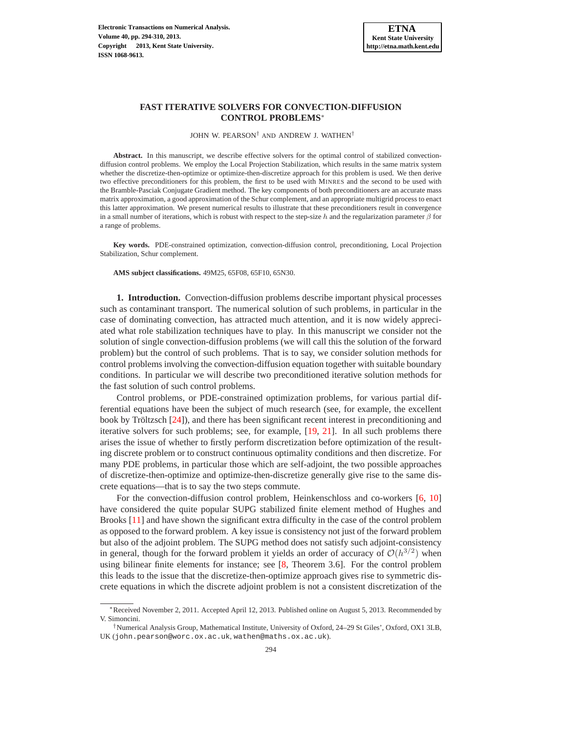# **FAST ITERATIVE SOLVERS FOR CONVECTION-DIFFUSION CONTROL PROBLEMS**∗

JOHN W. PEARSON† AND ANDREW J. WATHEN†

**Abstract.** In this manuscript, we describe effective solvers for the optimal control of stabilized convectiondiffusion control problems. We employ the Local Projection Stabilization, which results in the same matrix system whether the discretize-then-optimize or optimize-then-discretize approach for this problem is used. We then derive two effective preconditioners for this problem, the first to be used with MINRES and the second to be used with the Bramble-Pasciak Conjugate Gradient method. The key components of both preconditioners are an accurate mass matrix approximation, a good approximation of the Schur complement, and an appropriate multigrid process to enact this latter approximation. We present numerical results to illustrate that these preconditioners result in convergence in a small number of iterations, which is robust with respect to the step-size h and the regularization parameter  $\beta$  for a range of problems.

**Key words.** PDE-constrained optimization, convection-diffusion control, preconditioning, Local Projection Stabilization, Schur complement.

**AMS subject classifications.** 49M25, 65F08, 65F10, 65N30.

**1. Introduction.** Convection-diffusion problems describe important physical processes such as contaminant transport. The numerical solution of such problems, in particular in the case of dominating convection, has attracted much attention, and it is now widely appreciated what role stabilization techniques have to play. In this manuscript we consider not the solution of single convection-diffusion problems (we will call this the solution of the forward problem) but the control of such problems. That is to say, we consider solution methods for control problems involving the convection-diffusion equation together with suitable boundary conditions. In particular we will describe two preconditioned iterative solution methods for the fast solution of such control problems.

Control problems, or PDE-constrained optimization problems, for various partial differential equations have been the subject of much research (see, for example, the excellent book by Tröltzsch  $[24]$  $[24]$ ), and there has been significant recent interest in preconditioning and iterative solvers for such problems; see, for example, [\[19,](#page-16-1) [21\]](#page-16-2). In all such problems there arises the issue of whether to firstly perform discretization before optimization of the resulting discrete problem or to construct continuous optimality conditions and then discretize. For many PDE problems, in particular those which are self-adjoint, the two possible approaches of discretize-then-optimize and optimize-then-discretize generally give rise to the same discrete equations—that is to say the two steps commute.

For the convection-diffusion control problem, Heinkenschloss and co-workers [\[6,](#page-16-3) [10\]](#page-16-4) have considered the quite popular SUPG stabilized finite element method of Hughes and Brooks [\[11\]](#page-16-5) and have shown the significant extra difficulty in the case of the control problem as opposed to the forward problem. A key issue is consistency not just of the forward problem but also of the adjoint problem. The SUPG method does not satisfy such adjoint-consistency in general, though for the forward problem it yields an order of accuracy of  $O(h^{3/2})$  when using bilinear finite elements for instance; see [\[8,](#page-16-6) Theorem 3.6]. For the control problem this leads to the issue that the discretize-then-optimize approach gives rise to symmetric discrete equations in which the discrete adjoint problem is not a consistent discretization of the

<sup>∗</sup>Received November 2, 2011. Accepted April 12, 2013. Published online on August 5, 2013. Recommended by V. Simoncini.

<sup>†</sup>Numerical Analysis Group, Mathematical Institute, University of Oxford, 24–29 St Giles', Oxford, OX1 3LB, UK (john.pearson@worc.ox.ac.uk, wathen@maths.ox.ac.uk).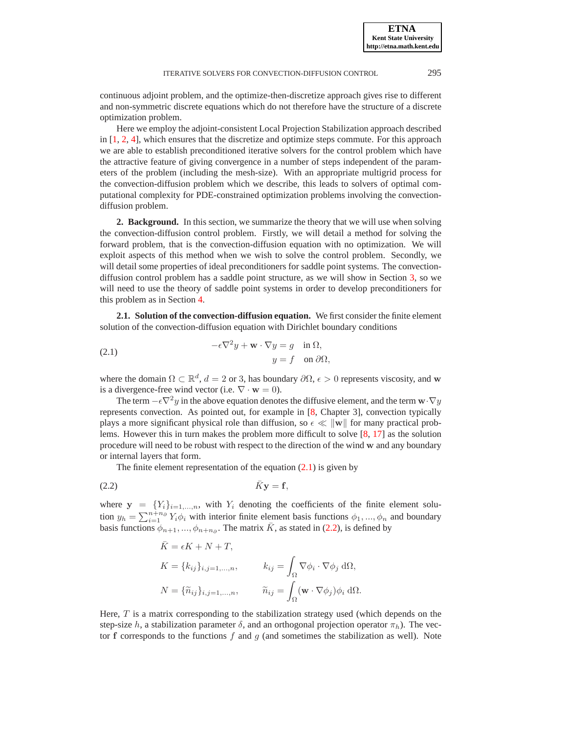<span id="page-1-0"></span>

**ETNA Kent State University http://etna.math.kent.edu**

continuous adjoint problem, and the optimize-then-discretize approach gives rise to different and non-symmetric discrete equations which do not therefore have the structure of a discrete optimization problem.

Here we employ the adjoint-consistent Local Projection Stabilization approach described in [\[1,](#page-15-0) [2,](#page-15-1) [4\]](#page-15-2), which ensures that the discretize and optimize steps commute. For this approach we are able to establish preconditioned iterative solvers for the control problem which have the attractive feature of giving convergence in a number of steps independent of the parameters of the problem (including the mesh-size). With an appropriate multigrid process for the convection-diffusion problem which we describe, this leads to solvers of optimal computational complexity for PDE-constrained optimization problems involving the convectiondiffusion problem.

**2. Background.** In this section, we summarize the theory that we will use when solving the convection-diffusion control problem. Firstly, we will detail a method for solving the forward problem, that is the convection-diffusion equation with no optimization. We will exploit aspects of this method when we wish to solve the control problem. Secondly, we will detail some properties of ideal preconditioners for saddle point systems. The convectiondiffusion control problem has a saddle point structure, as we will show in Section [3,](#page-3-0) so we will need to use the theory of saddle point systems in order to develop preconditioners for this problem as in Section [4.](#page-6-0)

<span id="page-1-2"></span>**2.1. Solution of the convection-diffusion equation.** We first consider the finite element solution of the convection-diffusion equation with Dirichlet boundary conditions

(2.1) 
$$
-\epsilon \nabla^2 y + \mathbf{w} \cdot \nabla y = g \quad \text{in } \Omega,
$$

$$
y = f \quad \text{on } \partial \Omega,
$$

where the domain  $\Omega \subset \mathbb{R}^d$ ,  $d = 2$  or 3, has boundary  $\partial \Omega$ ,  $\epsilon > 0$  represents viscosity, and w is a divergence-free wind vector (i.e.  $\nabla \cdot \mathbf{w} = 0$ ).

The term  $-\epsilon \nabla^2 y$  in the above equation denotes the diffusive element, and the term  $\mathbf{w} \cdot \nabla y$ represents convection. As pointed out, for example in [\[8,](#page-16-6) Chapter 3], convection typically plays a more significant physical role than diffusion, so  $\epsilon \ll ||\mathbf{w}||$  for many practical problems. However this in turn makes the problem more difficult to solve [\[8,](#page-16-6) [17\]](#page-16-7) as the solution procedure will need to be robust with respect to the direction of the wind w and any boundary or internal layers that form.

The finite element representation of the equation  $(2.1)$  is given by

$$
\bar{K}y = f,
$$

where  $y = \{Y_i\}_{i=1,\dots,n}$ , with  $Y_i$  denoting the coefficients of the finite element solution  $y_h = \sum_{i=1}^{n+n_\partial} Y_i \phi_i$  with interior finite element basis functions  $\phi_1, ..., \phi_n$  and boundary basis functions  $\phi_{n+1},...,\phi_{n+n_\partial}$ . The matrix  $\bar{K}$ , as stated in [\(2.2\)](#page-1-1), is defined by

<span id="page-1-1"></span>
$$
\bar{K} = \epsilon K + N + T,
$$
  
\n
$$
K = \{k_{ij}\}_{i,j=1,...,n}, \qquad k_{ij} = \int_{\Omega} \nabla \phi_i \cdot \nabla \phi_j \, d\Omega,
$$
  
\n
$$
N = \{\tilde{n}_{ij}\}_{i,j=1,...,n}, \qquad \tilde{n}_{ij} = \int_{\Omega} (\mathbf{w} \cdot \nabla \phi_j) \phi_i \, d\Omega.
$$

Here,  $T$  is a matrix corresponding to the stabilization strategy used (which depends on the step-size h, a stabilization parameter  $\delta$ , and an orthogonal projection operator  $\pi_h$ ). The vector f corresponds to the functions  $f$  and  $g$  (and sometimes the stabilization as well). Note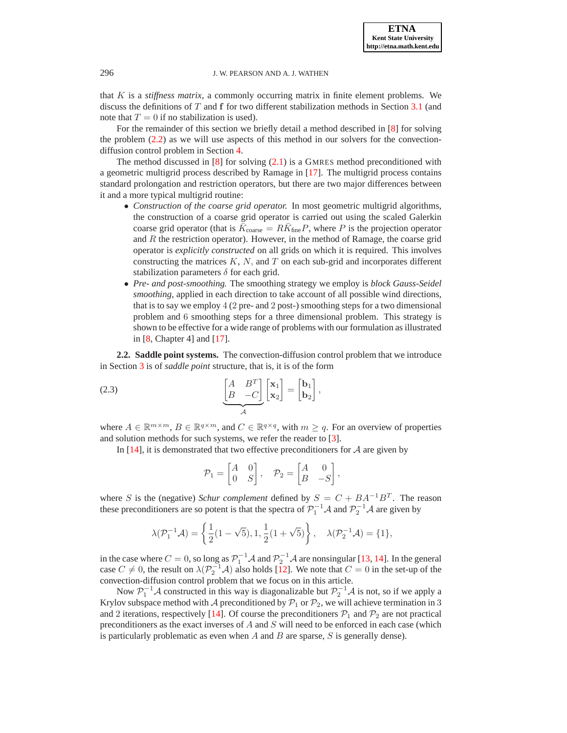that  $K$  is a *stiffness matrix*, a commonly occurring matrix in finite element problems. We discuss the definitions of  $T$  and  $f$  for two different stabilization methods in Section [3.1](#page-3-1) (and note that  $T = 0$  if no stabilization is used).

For the remainder of this section we briefly detail a method described in [\[8\]](#page-16-6) for solving the problem [\(2.2\)](#page-1-1) as we will use aspects of this method in our solvers for the convectiondiffusion control problem in Section [4.](#page-6-0)

The method discussed in  $[8]$  for solving  $(2.1)$  is a GMRES method preconditioned with a geometric multigrid process described by Ramage in [\[17\]](#page-16-7). The multigrid process contains standard prolongation and restriction operators, but there are two major differences between it and a more typical multigrid routine:

- *Construction of the coarse grid operator.* In most geometric multigrid algorithms, the construction of a coarse grid operator is carried out using the scaled Galerkin coarse grid operator (that is  $\bar{K}_{\text{coarse}} = R \bar{K}_{\text{fine}} P$ , where P is the projection operator and  $R$  the restriction operator). However, in the method of Ramage, the coarse grid operator is *explicitly constructed* on all grids on which it is required. This involves constructing the matrices  $K$ ,  $N$ , and  $T$  on each sub-grid and incorporates different stabilization parameters  $\delta$  for each grid.
- *Pre- and post-smoothing.* The smoothing strategy we employ is *block Gauss-Seidel smoothing*, applied in each direction to take account of all possible wind directions, that is to say we employ 4 (2 pre- and 2 post-) smoothing steps for a two dimensional problem and 6 smoothing steps for a three dimensional problem. This strategy is shown to be effective for a wide range of problems with our formulation as illustrated in [\[8,](#page-16-6) Chapter 4] and [\[17\]](#page-16-7).

<span id="page-2-0"></span>**2.2. Saddle point systems.** The convection-diffusion control problem that we introduce in Section [3](#page-3-0) is of *saddle point* structure, that is, it is of the form

(2.3) 
$$
\underbrace{\begin{bmatrix} A & B^T \ B & -C \end{bmatrix} \begin{bmatrix} \mathbf{x}_1 \\ \mathbf{x}_2 \end{bmatrix}}_{A} = \begin{bmatrix} \mathbf{b}_1 \\ \mathbf{b}_2 \end{bmatrix},
$$

where  $A \in \mathbb{R}^{m \times m}$ ,  $B \in \mathbb{R}^{q \times m}$ , and  $C \in \mathbb{R}^{q \times q}$ , with  $m \ge q$ . For an overview of properties and solution methods for such systems, we refer the reader to [\[3\]](#page-15-3).

In  $[14]$ , it is demonstrated that two effective preconditioners for A are given by

<span id="page-2-1"></span>
$$
\mathcal{P}_1 = \begin{bmatrix} A & 0 \\ 0 & S \end{bmatrix}, \quad \mathcal{P}_2 = \begin{bmatrix} A & 0 \\ B & -S \end{bmatrix},
$$

where S is the (negative) Schur complement defined by  $S = C + BA^{-1}B^{T}$ . The reason these preconditioners are so potent is that the spectra of  $\mathcal{P}_1^{-1}\mathcal{A}$  and  $\mathcal{P}_2^{-1}\mathcal{A}$  are given by

$$
\lambda(\mathcal{P}_1^{-1}\mathcal{A}) = \left\{ \frac{1}{2}(1-\sqrt{5}), 1, \frac{1}{2}(1+\sqrt{5}) \right\}, \quad \lambda(\mathcal{P}_2^{-1}\mathcal{A}) = \{1\},
$$

in the case where  $C = 0$ , so long as  $\mathcal{P}_1^{-1} \mathcal{A}$  and  $\mathcal{P}_2^{-1} \mathcal{A}$  are nonsingular [\[13,](#page-16-9) [14\]](#page-16-8). In the general case  $C \neq 0$ , the result on  $\lambda(\mathcal{P}_2^{-1}\mathcal{A})$  also holds [\[12\]](#page-16-10). We note that  $C = 0$  in the set-up of the convection-diffusion control problem that we focus on in this article.

Now  $\mathcal{P}_1^{-1} \mathcal{A}$  constructed in this way is diagonalizable but  $\mathcal{P}_2^{-1} \mathcal{A}$  is not, so if we apply a Krylov subspace method with A preconditioned by  $P_1$  or  $P_2$ , we will achieve termination in 3 and 2 iterations, respectively [\[14\]](#page-16-8). Of course the preconditioners  $\mathcal{P}_1$  and  $\mathcal{P}_2$  are not practical preconditioners as the exact inverses of  $A$  and  $S$  will need to be enforced in each case (which is particularly problematic as even when  $A$  and  $B$  are sparse,  $S$  is generally dense).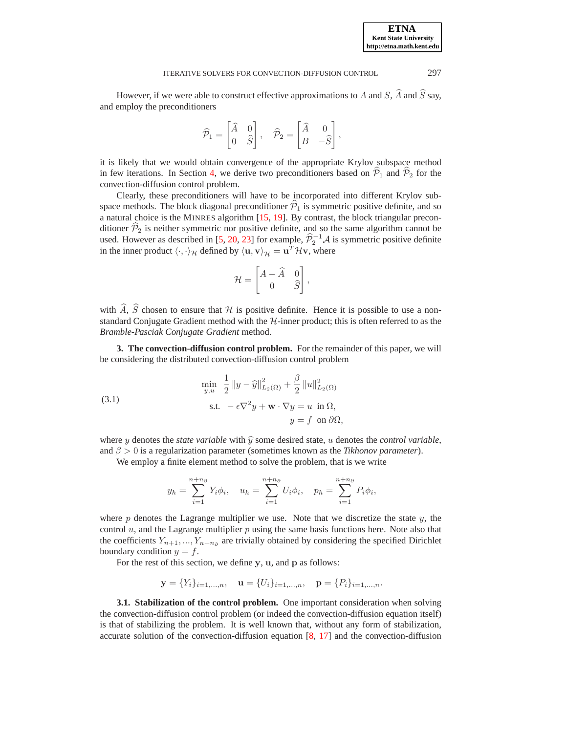However, if we were able to construct effective approximations to A and S,  $\hat{A}$  and  $\hat{S}$  say, and employ the preconditioners

$$
\widehat{\mathcal{P}}_1 = \begin{bmatrix} \widehat{A} & 0 \\ 0 & \widehat{S} \end{bmatrix}, \quad \widehat{\mathcal{P}}_2 = \begin{bmatrix} \widehat{A} & 0 \\ B & -\widehat{S} \end{bmatrix},
$$

it is likely that we would obtain convergence of the appropriate Krylov subspace method in few iterations. In Section [4,](#page-6-0) we derive two preconditioners based on  $\hat{P}_1$  and  $\hat{P}_2$  for the convection-diffusion control problem.

Clearly, these preconditioners will have to be incorporated into different Krylov subspace methods. The block diagonal preconditioner  $\mathcal{P}_1$  is symmetric positive definite, and so a natural choice is the MINRES algorithm [\[15,](#page-16-11) [19\]](#page-16-1). By contrast, the block triangular preconditioner  $\hat{\mathcal{P}}_2$  is neither symmetric nor positive definite, and so the same algorithm cannot be used. However as described in [\[5,](#page-15-4) [20,](#page-16-12) [23\]](#page-16-13) for example,  $\hat{P}_2^{-1}A$  is symmetric positive definite in the inner product  $\langle \cdot, \cdot \rangle_{\mathcal{H}}$  defined by  $\langle \mathbf{u}, \mathbf{v} \rangle_{\mathcal{H}} = \mathbf{u}^T \mathcal{H} \mathbf{v}$ , where

$$
\mathcal{H} = \begin{bmatrix} A - \widehat{A} & 0 \\ 0 & \widehat{S} \end{bmatrix},
$$

with  $\widehat{A}$ ,  $\widehat{S}$  chosen to ensure that H is positive definite. Hence it is possible to use a nonstandard Conjugate Gradient method with the  $H$ -inner product; this is often referred to as the *Bramble-Pasciak Conjugate Gradient* method.

<span id="page-3-0"></span>**3. The convection-diffusion control problem.** For the remainder of this paper, we will be considering the distributed convection-diffusion control problem

(3.1) 
$$
\min_{y,u} \quad \frac{1}{2} \|y - \widehat{y}\|_{L_2(\Omega)}^2 + \frac{\beta}{2} \|u\|_{L_2(\Omega)}^2
$$

$$
\text{s.t. } -\epsilon \nabla^2 y + \mathbf{w} \cdot \nabla y = u \quad \text{in } \Omega,
$$

$$
y = f \quad \text{on } \partial \Omega,
$$

where y denotes the *state variable* with  $\hat{y}$  some desired state, u denotes the *control variable*, and  $\beta > 0$  is a regularization parameter (sometimes known as the *Tikhonov parameter*).

We employ a finite element method to solve the problem, that is we write

$$
y_h = \sum_{i=1}^{n+n_\partial} Y_i \phi_i
$$
,  $u_h = \sum_{i=1}^{n+n_\partial} U_i \phi_i$ ,  $p_h = \sum_{i=1}^{n+n_\partial} P_i \phi_i$ 

<span id="page-3-2"></span>,

where  $p$  denotes the Lagrange multiplier we use. Note that we discretize the state  $y$ , the control  $u$ , and the Lagrange multiplier  $p$  using the same basis functions here. Note also that the coefficients  $Y_{n+1},..., Y_{n+n_{\partial}}$  are trivially obtained by considering the specified Dirichlet boundary condition  $y = f$ .

For the rest of this section, we define y, u, and p as follows:

$$
\mathbf{y} = \{Y_i\}_{i=1,\dots,n}, \quad \mathbf{u} = \{U_i\}_{i=1,\dots,n}, \quad \mathbf{p} = \{P_i\}_{i=1,\dots,n}.
$$

<span id="page-3-1"></span>**3.1. Stabilization of the control problem.** One important consideration when solving the convection-diffusion control problem (or indeed the convection-diffusion equation itself) is that of stabilizing the problem. It is well known that, without any form of stabilization, accurate solution of the convection-diffusion equation [\[8,](#page-16-6) [17\]](#page-16-7) and the convection-diffusion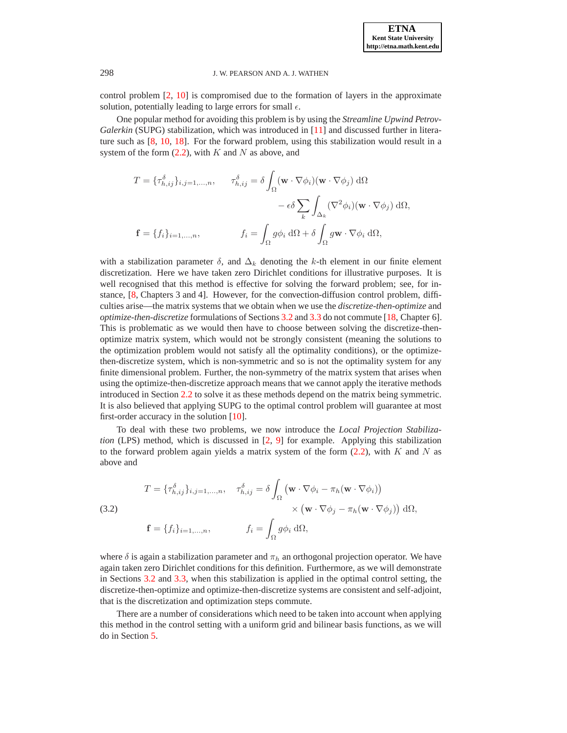control problem [\[2,](#page-15-1) [10\]](#page-16-4) is compromised due to the formation of layers in the approximate solution, potentially leading to large errors for small  $\epsilon$ .

One popular method for avoiding this problem is by using the *Streamline Upwind Petrov-Galerkin* (SUPG) stabilization, which was introduced in [\[11\]](#page-16-5) and discussed further in literature such as [\[8,](#page-16-6) [10,](#page-16-4) [18\]](#page-16-14). For the forward problem, using this stabilization would result in a system of the form  $(2.2)$ , with K and N as above, and

$$
T = \{\tau_{h,ij}^{\delta}\}_{i,j=1,...,n}, \quad \tau_{h,ij}^{\delta} = \delta \int_{\Omega} (\mathbf{w} \cdot \nabla \phi_i)(\mathbf{w} \cdot \nabla \phi_j) \,d\Omega
$$

$$
- \epsilon \delta \sum_{k} \int_{\Delta_k} (\nabla^2 \phi_i)(\mathbf{w} \cdot \nabla \phi_j) \,d\Omega,
$$

$$
\mathbf{f} = \{f_i\}_{i=1,...,n}, \quad f_i = \int_{\Omega} g \phi_i \,d\Omega + \delta \int_{\Omega} g \mathbf{w} \cdot \nabla \phi_i \,d\Omega,
$$

with a stabilization parameter  $\delta$ , and  $\Delta_k$  denoting the k-th element in our finite element discretization. Here we have taken zero Dirichlet conditions for illustrative purposes. It is well recognised that this method is effective for solving the forward problem; see, for instance, [\[8,](#page-16-6) Chapters 3 and 4]. However, for the convection-diffusion control problem, difficulties arise—the matrix systems that we obtain when we use the *discretize-then-optimize* and *optimize-then-discretize* formulations of Sections [3.2](#page-5-0) and [3.3](#page-6-1) do not commute [\[18,](#page-16-14) Chapter 6]. This is problematic as we would then have to choose between solving the discretize-thenoptimize matrix system, which would not be strongly consistent (meaning the solutions to the optimization problem would not satisfy all the optimality conditions), or the optimizethen-discretize system, which is non-symmetric and so is not the optimality system for any finite dimensional problem. Further, the non-symmetry of the matrix system that arises when using the optimize-then-discretize approach means that we cannot apply the iterative methods introduced in Section [2.2](#page-2-0) to solve it as these methods depend on the matrix being symmetric. It is also believed that applying SUPG to the optimal control problem will guarantee at most first-order accuracy in the solution [\[10\]](#page-16-4).

To deal with these two problems, we now introduce the *Local Projection Stabilization* (LPS) method, which is discussed in [\[2,](#page-15-1) [9\]](#page-16-15) for example. Applying this stabilization to the forward problem again yields a matrix system of the form  $(2.2)$ , with K and N as above and

<span id="page-4-0"></span>(3.2)  
\n
$$
T = \{\tau_{h,ij}^{\delta}\}_{i,j=1,\dots,n}, \quad \tau_{h,ij}^{\delta} = \delta \int_{\Omega} (\mathbf{w} \cdot \nabla \phi_i - \pi_h (\mathbf{w} \cdot \nabla \phi_i))
$$
\n
$$
\times (\mathbf{w} \cdot \nabla \phi_j - \pi_h (\mathbf{w} \cdot \nabla \phi_j)) \, d\Omega,
$$
\n
$$
\mathbf{f} = \{f_i\}_{i=1,\dots,n}, \qquad f_i = \int_{\Omega} g \phi_i \, d\Omega,
$$

where  $\delta$  is again a stabilization parameter and  $\pi_h$  an orthogonal projection operator. We have again taken zero Dirichlet conditions for this definition. Furthermore, as we will demonstrate in Sections [3.2](#page-5-0) and [3.3,](#page-6-1) when this stabilization is applied in the optimal control setting, the discretize-then-optimize and optimize-then-discretize systems are consistent and self-adjoint, that is the discretization and optimization steps commute.

There are a number of considerations which need to be taken into account when applying this method in the control setting with a uniform grid and bilinear basis functions, as we will do in Section [5.](#page-10-0)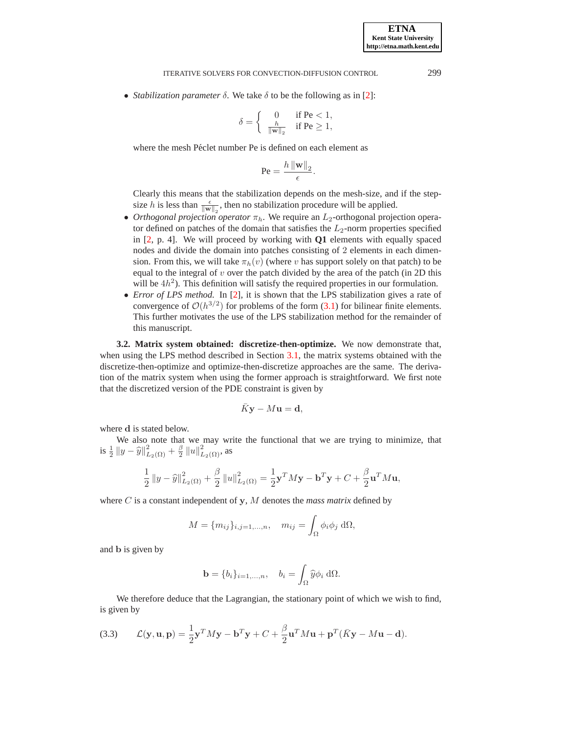• *Stabilization parameter*  $\delta$ . We take  $\delta$  to be the following as in [\[2\]](#page-15-1):

$$
\delta = \begin{cases} 0 & \text{if } \text{Pe} < 1, \\ \frac{h}{\|\mathbf{w}\|_2} & \text{if } \text{Pe} \ge 1, \end{cases}
$$

where the mesh Péclet number Pe is defined on each element as

$$
\mathrm{Pe} = \frac{h \left\| \mathbf{w} \right\|_2}{\epsilon}.
$$

Clearly this means that the stabilization depends on the mesh-size, and if the stepsize h is less than  $\frac{\epsilon}{\|\mathbf{w}\|_2}$ , then no stabilization procedure will be applied.

- *Orthogonal projection operator*  $\pi_h$ . We require an  $L_2$ -orthogonal projection operator defined on patches of the domain that satisfies the  $L_2$ -norm properties specified in [\[2,](#page-15-1) p. 4]. We will proceed by working with **Q1** elements with equally spaced nodes and divide the domain into patches consisting of 2 elements in each dimension. From this, we will take  $\pi_h(v)$  (where v has support solely on that patch) to be equal to the integral of  $v$  over the patch divided by the area of the patch (in 2D this will be  $4h<sup>2</sup>$ ). This definition will satisfy the required properties in our formulation.
- *Error of LPS method.* In [\[2\]](#page-15-1), it is shown that the LPS stabilization gives a rate of convergence of  $\mathcal{O}(h^{3/2})$  for problems of the form [\(3.1\)](#page-3-2) for bilinear finite elements. This further motivates the use of the LPS stabilization method for the remainder of this manuscript.

<span id="page-5-0"></span>**3.2. Matrix system obtained: discretize-then-optimize.** We now demonstrate that, when using the LPS method described in Section [3.1,](#page-3-1) the matrix systems obtained with the discretize-then-optimize and optimize-then-discretize approaches are the same. The derivation of the matrix system when using the former approach is straightforward. We first note that the discretized version of the PDE constraint is given by

$$
\bar{K} \mathbf{y} - M \mathbf{u} = \mathbf{d},
$$

where d is stated below.

We also note that we may write the functional that we are trying to minimize, that is  $\frac{1}{2} ||y - \hat{y}||^2_{L_2(\Omega)} + \frac{\beta}{2} ||u||^2_{L_2(\Omega)}$ , as

$$
\frac{1}{2} \|y - \widehat{y}\|_{L_2(\Omega)}^2 + \frac{\beta}{2} \|u\|_{L_2(\Omega)}^2 = \frac{1}{2} \mathbf{y}^T M \mathbf{y} - \mathbf{b}^T \mathbf{y} + C + \frac{\beta}{2} \mathbf{u}^T M \mathbf{u},
$$

where C is a constant independent of y, M denotes the *mass matrix* defined by

$$
M = \{m_{ij}\}_{i,j=1,\dots,n}, \quad m_{ij} = \int_{\Omega} \phi_i \phi_j \, d\Omega,
$$

and b is given by

$$
\mathbf{b} = \{b_i\}_{i=1,\dots,n}, \quad b_i = \int_{\Omega} \widehat{y} \phi_i \, d\Omega.
$$

We therefore deduce that the Lagrangian, the stationary point of which we wish to find, is given by

<span id="page-5-1"></span>(3.3) 
$$
\mathcal{L}(\mathbf{y}, \mathbf{u}, \mathbf{p}) = \frac{1}{2}\mathbf{y}^T M \mathbf{y} - \mathbf{b}^T \mathbf{y} + C + \frac{\beta}{2}\mathbf{u}^T M \mathbf{u} + \mathbf{p}^T (\bar{K} \mathbf{y} - M \mathbf{u} - \mathbf{d}).
$$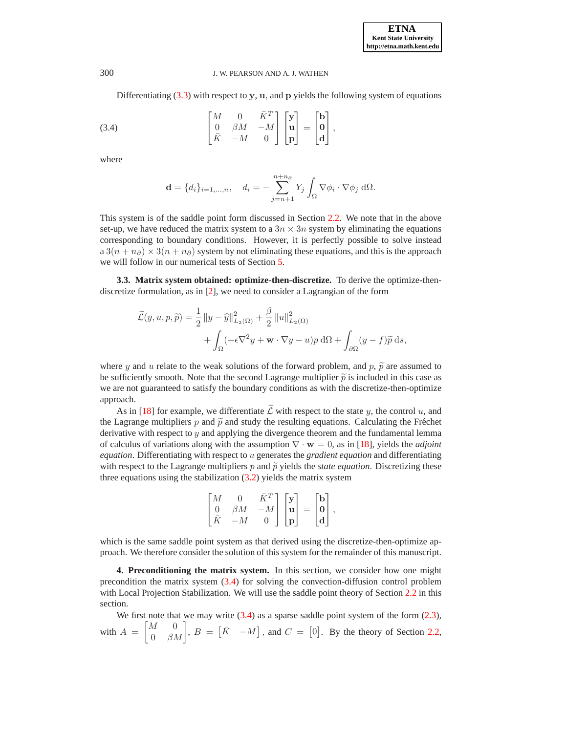Differentiating  $(3.3)$  with respect to y, u, and p yields the following system of equations

(3.4) 
$$
\begin{bmatrix} M & 0 & \bar{K}^T \\ 0 & \beta M & -M \\ \bar{K} & -M & 0 \end{bmatrix} \begin{bmatrix} \mathbf{y} \\ \mathbf{u} \\ \mathbf{p} \end{bmatrix} = \begin{bmatrix} \mathbf{b} \\ \mathbf{0} \\ \mathbf{d} \end{bmatrix},
$$

where

<span id="page-6-2"></span>
$$
\mathbf{d} = \{d_i\}_{i=1,\dots,n}, \quad d_i = -\sum_{j=n+1}^{n+n_\partial} Y_j \int_{\Omega} \nabla \phi_i \cdot \nabla \phi_j \, d\Omega.
$$

This system is of the saddle point form discussed in Section [2.2.](#page-2-0) We note that in the above set-up, we have reduced the matrix system to a  $3n \times 3n$  system by eliminating the equations corresponding to boundary conditions. However, it is perfectly possible to solve instead  $a 3(n + n<sub>∂</sub>) \times 3(n + n<sub>∂</sub>)$  system by not eliminating these equations, and this is the approach we will follow in our numerical tests of Section [5.](#page-10-0)

<span id="page-6-1"></span>**3.3. Matrix system obtained: optimize-then-discretize.** To derive the optimize-thendiscretize formulation, as in [\[2\]](#page-15-1), we need to consider a Lagrangian of the form

$$
\widetilde{\mathcal{L}}(y, u, p, \widetilde{p}) = \frac{1}{2} ||y - \widehat{y}||_{L_2(\Omega)}^2 + \frac{\beta}{2} ||u||_{L_2(\Omega)}^2 + \int_{\Omega} (-\epsilon \nabla^2 y + \mathbf{w} \cdot \nabla y - u)p \, d\Omega + \int_{\partial \Omega} (y - f) \widetilde{p} \, ds,
$$

where y and u relate to the weak solutions of the forward problem, and p,  $\tilde{p}$  are assumed to be sufficiently smooth. Note that the second Lagrange multiplier  $\tilde{p}$  is included in this case as we are not guaranteed to satisfy the boundary conditions as with the discretize-then-optimize approach.

As in [\[18\]](#page-16-14) for example, we differentiate  $\widetilde{\mathcal{L}}$  with respect to the state y, the control u, and the Lagrange multipliers p and  $\tilde{p}$  and study the resulting equations. Calculating the Fréchet derivative with respect to  $y$  and applying the divergence theorem and the fundamental lemma of calculus of variations along with the assumption ∇ · w = 0, as in [\[18\]](#page-16-14), yields the *adjoint equation*. Differentiating with respect to u generates the *gradient equation* and differentiating with respect to the Lagrange multipliers p and  $\tilde{p}$  yields the *state equation*. Discretizing these three equations using the stabilization  $(3.2)$  yields the matrix system

$$
\begin{bmatrix} M & 0 & \bar{K}^T \\ 0 & \beta M & -M \\ \bar{K} & -M & 0 \end{bmatrix} \begin{bmatrix} \mathbf{y} \\ \mathbf{u} \\ \mathbf{p} \end{bmatrix} = \begin{bmatrix} \mathbf{b} \\ \mathbf{0} \\ \mathbf{d} \end{bmatrix},
$$

which is the same saddle point system as that derived using the discretize-then-optimize approach. We therefore consider the solution of this system for the remainder of this manuscript.

<span id="page-6-0"></span>**4. Preconditioning the matrix system.** In this section, we consider how one might precondition the matrix system [\(3.4\)](#page-6-2) for solving the convection-diffusion control problem with Local Projection Stabilization. We will use the saddle point theory of Section [2.2](#page-2-0) in this section.

We first note that we may write  $(3.4)$  as a sparse saddle point system of the form  $(2.3)$ , with  $A =$  $\begin{bmatrix} M & 0 \\ 0 & \beta M \end{bmatrix}$ ,  $B = \begin{bmatrix} \overline{K} & -M \end{bmatrix}$ , and  $C = \begin{bmatrix} 0 \end{bmatrix}$ . By the theory of Section [2.2,](#page-2-0)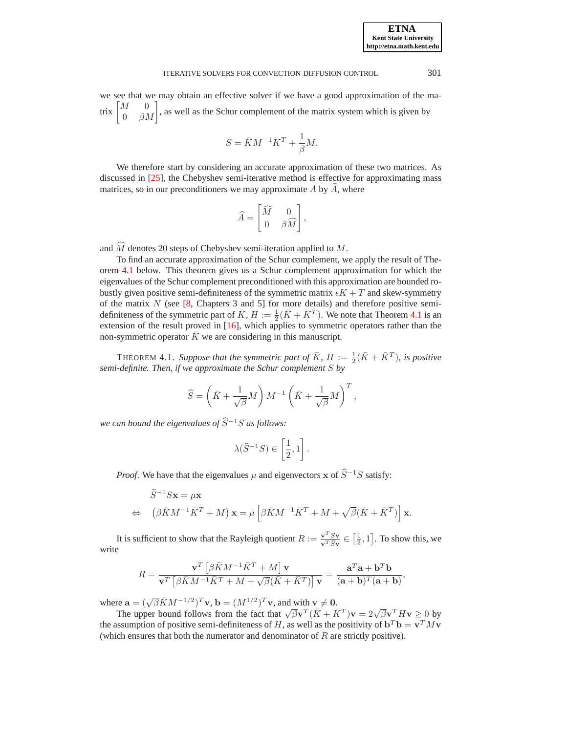we see that we may obtain an effective solver if we have a good approximation of the matrix  $\begin{bmatrix} M \\ 0 \end{bmatrix}$  $\begin{bmatrix} 0 & 0 \\ 0 & \beta M \end{bmatrix}$ , as well as the Schur complement of the matrix system which is given by

$$
S = \bar{K}M^{-1}\bar{K}^T + \frac{1}{\beta}M.
$$

We therefore start by considering an accurate approximation of these two matrices. As discussed in [\[25\]](#page-16-16), the Chebyshev semi-iterative method is effective for approximating mass matrices, so in our preconditioners we may approximate  $A$  by  $A$ , where

$$
\widehat{A} = \begin{bmatrix} \widehat{M} & 0 \\ 0 & \beta \widehat{M} \end{bmatrix},
$$

and  $\widehat{M}$  denotes 20 steps of Chebyshev semi-iteration applied to  $M$ .

To find an accurate approximation of the Schur complement, we apply the result of Theorem [4.1](#page-7-0) below. This theorem gives us a Schur complement approximation for which the eigenvalues of the Schur complement preconditioned with this approximation are bounded robustly given positive semi-definiteness of the symmetric matrix  $\epsilon K + T$  and skew-symmetry of the matrix  $N$  (see [\[8,](#page-16-6) Chapters 3 and 5] for more details) and therefore positive semidefiniteness of the symmetric part of  $\bar{K}$ ,  $H := \frac{1}{2}(\bar{K} + \bar{K}^T)$ . We note that Theorem [4.1](#page-7-0) is an extension of the result proved in [\[16\]](#page-16-17), which applies to symmetric operators rather than the non-symmetric operator  $\overline{K}$  we are considering in this manuscript.

<span id="page-7-0"></span>THEOREM 4.1. Suppose that the symmetric part of  $\bar{K}$ ,  $H := \frac{1}{2}(\bar{K} + \bar{K}^T)$ , is positive *semi-definite. Then, if we approximate the Schur complement* S *by*

$$
\widehat{S} = \left(\bar{K} + \frac{1}{\sqrt{\beta}}M\right)M^{-1}\left(\bar{K} + \frac{1}{\sqrt{\beta}}M\right)^T,
$$

*we can bound the eigenvalues of*  $\widehat{S}^{-1}S$  *as follows:* 

$$
\lambda(\widehat{S}^{-1}S) \in \left[\frac{1}{2}, 1\right].
$$

*Proof.* We have that the eigenvalues  $\mu$  and eigenvectors x of  $\hat{S}^{-1}S$  satisfy:

$$
\hat{S}^{-1} S \mathbf{x} = \mu \mathbf{x}
$$
  
\n
$$
\Leftrightarrow \left( \beta \bar{K} M^{-1} \bar{K}^T + M \right) \mathbf{x} = \mu \left[ \beta \bar{K} M^{-1} \bar{K}^T + M + \sqrt{\beta} (\bar{K} + \bar{K}^T) \right] \mathbf{x}.
$$

It is sufficient to show that the Rayleigh quotient  $R := \frac{{\bf v}^T S {\bf v}}{{\bf v}^T \hat{S} {\bf v}} \in \left[\frac{1}{2}, 1\right]$ . To show this, we write

$$
R = \frac{\mathbf{v}^T \left[ \beta \bar{K} M^{-1} \bar{K}^T + M \right] \mathbf{v}}{\mathbf{v}^T \left[ \beta \bar{K} M^{-1} \bar{K}^T + M + \sqrt{\beta} (\bar{K} + \bar{K}^T) \right] \mathbf{v}} = \frac{\mathbf{a}^T \mathbf{a} + \mathbf{b}^T \mathbf{b}}{(\mathbf{a} + \mathbf{b})^T (\mathbf{a} + \mathbf{b})},
$$

where  $\mathbf{a} = (\sqrt{\beta} \bar{K} M^{-1/2})^T \mathbf{v}$ ,  $\mathbf{b} = (M^{1/2})^T \mathbf{v}$ , and with  $\mathbf{v} \neq \mathbf{0}$ .

The upper bound follows from the fact that  $\sqrt{\beta}v^T(\bar{K} + \bar{K}^T)v = 2\sqrt{\beta}v^T H v \ge 0$  by the assumption of positive semi-definiteness of H, as well as the positivity of  $\mathbf{b}^T \mathbf{b} = \mathbf{v}^T M \mathbf{v}$ (which ensures that both the numerator and denominator of  $R$  are strictly positive).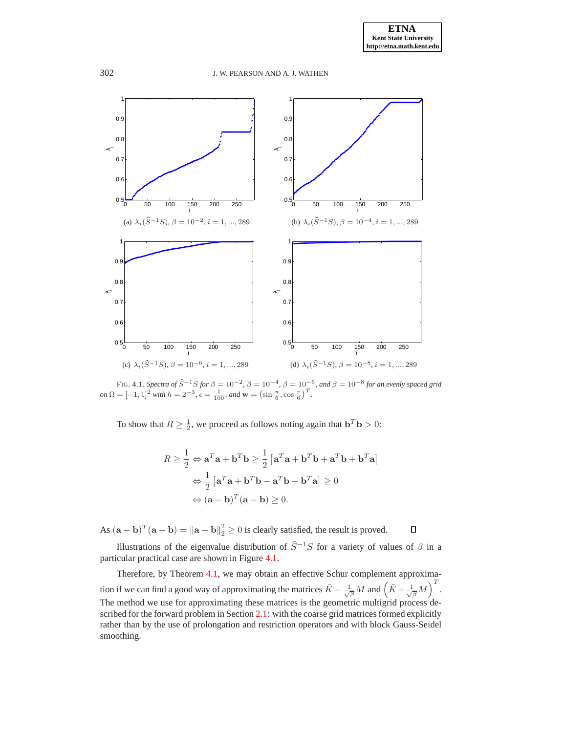

FIG. 4.1. *Spectra of*  $\widehat{S}^{-1}S$  *for*  $\beta = 10^{-2}$ ,  $\beta = 10^{-4}$ ,  $\beta = 10^{-6}$ , and  $\beta = 10^{-8}$  for an evenly spaced grid *on*  $\Omega = [-1, 1]^2$  *with*  $h = 2^{-3}$ ,  $\epsilon = \frac{1}{100}$ , *and*  $\mathbf{w} = (\sin \frac{\pi}{6}, \cos \frac{\pi}{6})^T$ .

<span id="page-8-0"></span>To show that  $R \ge \frac{1}{2}$ , we proceed as follows noting again that  $\mathbf{b}^T \mathbf{b} > 0$ :

$$
R \ge \frac{1}{2} \Leftrightarrow \mathbf{a}^T \mathbf{a} + \mathbf{b}^T \mathbf{b} \ge \frac{1}{2} \left[ \mathbf{a}^T \mathbf{a} + \mathbf{b}^T \mathbf{b} + \mathbf{a}^T \mathbf{b} + \mathbf{b}^T \mathbf{a} \right]
$$

$$
\Leftrightarrow \frac{1}{2} \left[ \mathbf{a}^T \mathbf{a} + \mathbf{b}^T \mathbf{b} - \mathbf{a}^T \mathbf{b} - \mathbf{b}^T \mathbf{a} \right] \ge 0
$$

$$
\Leftrightarrow (\mathbf{a} - \mathbf{b})^T (\mathbf{a} - \mathbf{b}) \ge 0.
$$

As  $(\mathbf{a} - \mathbf{b})^T (\mathbf{a} - \mathbf{b}) = ||\mathbf{a} - \mathbf{b}||_2^2 \ge 0$  is clearly satisfied, the result is proved.  $\Box$ 

Illustrations of the eigenvalue distribution of  $\hat{S}^{-1}S$  for a variety of values of  $\beta$  in a particular practical case are shown in Figure [4.1.](#page-8-0)

Therefore, by Theorem [4.1,](#page-7-0) we may obtain an effective Schur complement approximation if we can find a good way of approximating the matrices  $\bar{K} + \frac{1}{\sqrt{\beta}}M$  and  $(\bar{K} + \frac{1}{\sqrt{\beta}}M)^T$ . The method we use for approximating these matrices is the geometric multigrid process de-scribed for the forward problem in Section [2.1:](#page-1-2) with the coarse grid matrices formed explicitly rather than by the use of prolongation and restriction operators and with block Gauss-Seidel smoothing.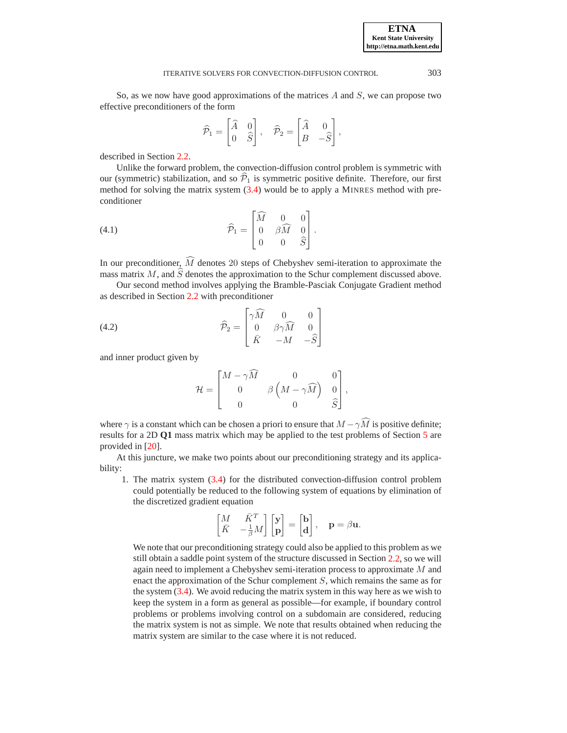So, as we now have good approximations of the matrices  $A$  and  $S$ , we can propose two effective preconditioners of the form

<span id="page-9-0"></span>
$$
\widehat{\mathcal{P}}_1 = \begin{bmatrix} \widehat{A} & 0 \\ 0 & \widehat{S} \end{bmatrix}, \quad \widehat{\mathcal{P}}_2 = \begin{bmatrix} \widehat{A} & 0 \\ B & -\widehat{S} \end{bmatrix},
$$

described in Section [2.2.](#page-2-0)

Unlike the forward problem, the convection-diffusion control problem is symmetric with our (symmetric) stabilization, and so  $\hat{\mathcal{P}}_1$  is symmetric positive definite. Therefore, our first method for solving the matrix system [\(3.4\)](#page-6-2) would be to apply a MINRES method with preconditioner

(4.1) 
$$
\widehat{\mathcal{P}}_1 = \begin{bmatrix} \widehat{M} & 0 & 0 \\ 0 & \widehat{\beta M} & 0 \\ 0 & 0 & \widehat{S} \end{bmatrix}.
$$

In our preconditioner,  $\widehat{M}$  denotes 20 steps of Chebyshev semi-iteration to approximate the mass matrix M, and  $\hat{S}$  denotes the approximation to the Schur complement discussed above.

Our second method involves applying the Bramble-Pasciak Conjugate Gradient method as described in Section [2.2](#page-2-0) with preconditioner

(4.2) 
$$
\widehat{\mathcal{P}}_2 = \begin{bmatrix} \gamma \widehat{M} & 0 & 0 \\ 0 & \beta \gamma \widehat{M} & 0 \\ \bar{K} & -M & -\widehat{S} \end{bmatrix}
$$

and inner product given by

<span id="page-9-1"></span>
$$
\mathcal{H} = \begin{bmatrix} M - \gamma \widehat{M} & 0 & 0 \\ 0 & \beta \left( M - \gamma \widehat{M} \right) & 0 \\ 0 & 0 & \widehat{S} \end{bmatrix},
$$

where  $\gamma$  is a constant which can be chosen a priori to ensure that  $M - \gamma \hat{M}$  is positive definite; results for a 2D **Q1** mass matrix which may be applied to the test problems of Section [5](#page-10-0) are provided in [\[20\]](#page-16-12).

At this juncture, we make two points about our preconditioning strategy and its applicability:

1. The matrix system [\(3.4\)](#page-6-2) for the distributed convection-diffusion control problem could potentially be reduced to the following system of equations by elimination of the discretized gradient equation

$$
\begin{bmatrix} M & \bar{K}^T \\ \bar{K} & -\frac{1}{\beta} M \end{bmatrix} \begin{bmatrix} {\bf y} \\ {\bf p} \end{bmatrix} = \begin{bmatrix} {\bf b} \\ {\bf d} \end{bmatrix}, \quad {\bf p} = \beta {\bf u}.
$$

We note that our preconditioning strategy could also be applied to this problem as we still obtain a saddle point system of the structure discussed in Section [2.2,](#page-2-0) so we will again need to implement a Chebyshev semi-iteration process to approximate M and enact the approximation of the Schur complement S, which remains the same as for the system [\(3.4\)](#page-6-2). We avoid reducing the matrix system in this way here as we wish to keep the system in a form as general as possible—for example, if boundary control problems or problems involving control on a subdomain are considered, reducing the matrix system is not as simple. We note that results obtained when reducing the matrix system are similar to the case where it is not reduced.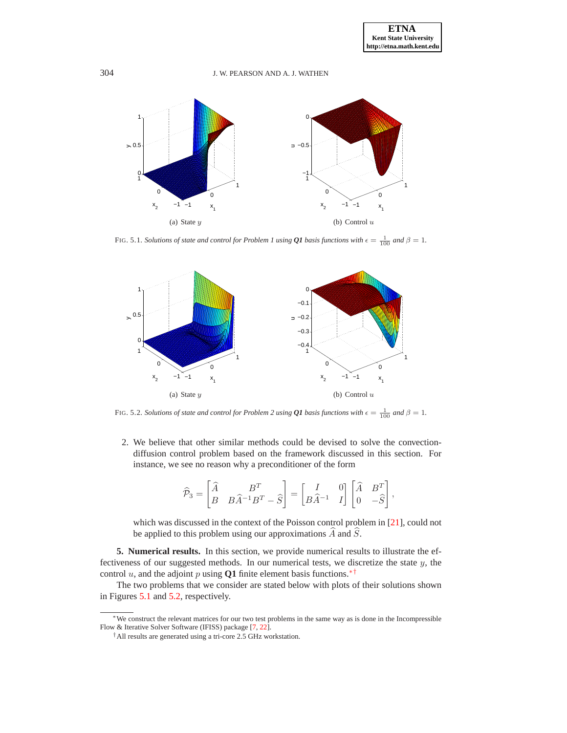

<span id="page-10-3"></span>FIG. 5.1. *Solutions of state and control for Problem 1 using*  $Q1$  *basis functions with*  $\epsilon = \frac{1}{100}$  *and*  $\beta = 1$ *.* 



<span id="page-10-4"></span>FIG. 5.2. *Solutions of state and control for Problem 2 using*  $Q1$  *basis functions with*  $\epsilon = \frac{1}{100}$  *and*  $\beta = 1$ *.* 

2. We believe that other similar methods could be devised to solve the convectiondiffusion control problem based on the framework discussed in this section. For instance, we see no reason why a preconditioner of the form

$$
\widehat{\mathcal{P}}_3 = \begin{bmatrix} \widehat{A} & B^T \\ B & B\widehat{A}^{-1}B^T - \widehat{S} \end{bmatrix} = \begin{bmatrix} I & 0 \\ B\widehat{A}^{-1} & I \end{bmatrix} \begin{bmatrix} \widehat{A} & B^T \\ 0 & -\widehat{S} \end{bmatrix},
$$

which was discussed in the context of the Poisson control problem in [\[21\]](#page-16-2), could not be applied to this problem using our approximations  $\widehat{A}$  and  $\widehat{S}$ .

<span id="page-10-0"></span>**5. Numerical results.** In this section, we provide numerical results to illustrate the effectiveness of our suggested methods. In our numerical tests, we discretize the state y, the control u, and the adjoint p using **Q1** finite element basis functions.<sup>\*[†](#page-10-2)</sup>

The two problems that we consider are stated below with plots of their solutions shown in Figures [5.1](#page-10-3) and [5.2,](#page-10-4) respectively.

<sup>∗</sup>We construct the relevant matrices for our two test problems in the same way as is done in the Incompressible Flow & Iterative Solver Software (IFISS) package [\[7,](#page-16-18) [22\]](#page-16-19).

<span id="page-10-2"></span><span id="page-10-1"></span><sup>†</sup>All results are generated using a tri-core 2.5 GHz workstation.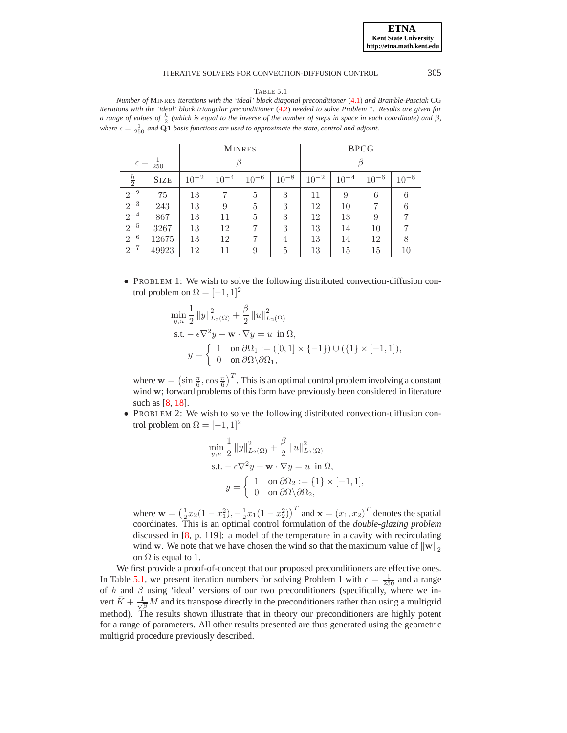TABLE 5.1

<span id="page-11-0"></span>*Number of* MINRES *iterations with the 'ideal' block diagonal preconditioner* [\(4.1\)](#page-9-0) *and Bramble-Pasciak* CG *iterations with the 'ideal' block triangular preconditioner* [\(4.2\)](#page-9-1) *needed to solve Problem 1. Results are given for a range of values of*  $\frac{h}{2}$  (which is equal to the inverse of the number of steps in space in each coordinate) and  $\beta$ , where  $\epsilon = \frac{1}{250}$  and  $\bar{Q}$ 1 *basis functions are used to approximate the state, control and adjoint.* 

|                            |             |           |           | <b>MINRES</b> |           | <b>BPCG</b> |           |           |           |
|----------------------------|-------------|-----------|-----------|---------------|-----------|-------------|-----------|-----------|-----------|
| $\epsilon = \frac{1}{250}$ |             |           |           |               |           |             |           |           |           |
| $\frac{h}{2}$              | <b>SIZE</b> | $10^{-2}$ | $10^{-4}$ | $10^{-6}$     | $10^{-8}$ | $10^{-2}$   | $10^{-4}$ | $10^{-6}$ | $10^{-8}$ |
| $2^{-2}$                   | 75          | 13        | 7         | 5             | 3         | 11          | 9         | 6         | 6         |
| $2^{-3}$                   | 243         | 13        | 9         | 5             | 3         | 12          | 10        |           | 6         |
| $2^{-4}$                   | 867         | 13        | 11        | 5             | 3         | 12          | 13        | 9         |           |
| $2^{-5}$                   | 3267        | 13        | 12        |               | 3         | 13          | 14        | 10        | 7         |
| $2^{-6}$                   | 12675       | 13        | 12        |               | 4         | 13          | 14        | 12        | 8         |
| $2^{-7}$                   | 49923       | 12        | 11        | 9             | 5         | 13          | 15        | 15        | 10        |

• PROBLEM 1: We wish to solve the following distributed convection-diffusion control problem on  $\Omega = [-1, 1]^2$ 

$$
\begin{aligned}\n\min_{y,u} & \frac{1}{2} \left\|y\right\|_{L_2(\Omega)}^2 + \frac{\beta}{2} \left\|u\right\|_{L_2(\Omega)}^2 \\
\text{s.t.} & -\epsilon \nabla^2 y + \mathbf{w} \cdot \nabla y = u \text{ in } \Omega, \\
y & = \begin{cases}\n1 & \text{on } \partial \Omega_1 := ([0,1] \times \{-1\}) \cup (\{1\} \times [-1,1]), \\
0 & \text{on } \partial \Omega \setminus \partial \Omega_1,\n\end{cases}\n\end{aligned}
$$

where  $\mathbf{w} = (\sin \frac{\pi}{6}, \cos \frac{\pi}{6})^T$ . This is an optimal control problem involving a constant wind w; forward problems of this form have previously been considered in literature such as [\[8,](#page-16-6) [18\]](#page-16-14).

• PROBLEM 2: We wish to solve the following distributed convection-diffusion control problem on  $\Omega = [-1, 1]^2$ 

$$
\min_{y,u} \frac{1}{2} ||y||_{L_2(\Omega)}^2 + \frac{\beta}{2} ||u||_{L_2(\Omega)}^2
$$
\ns.t.  $-\epsilon \nabla^2 y + \mathbf{w} \cdot \nabla y = u \text{ in } \Omega$ ,  
\n
$$
y = \begin{cases} 1 & \text{on } \partial \Omega_2 := \{1\} \times [-1,1], \\ 0 & \text{on } \partial \Omega \setminus \partial \Omega_2, \end{cases}
$$

where  $\mathbf{w} = (\frac{1}{2}x_2(1-x_1^2), -\frac{1}{2}x_1(1-x_2^2))^T$  and  $\mathbf{x} = (x_1, x_2)^T$  denotes the spatial coordinates. This is an optimal control formulation of the *double-glazing problem* discussed in [\[8,](#page-16-6) p. 119]: a model of the temperature in a cavity with recirculating wind w. We note that we have chosen the wind so that the maximum value of  $\|w\|_2$ on  $\Omega$  is equal to 1.

We first provide a proof-of-concept that our proposed preconditioners are effective ones. In Table [5.1,](#page-11-0) we present iteration numbers for solving Problem 1 with  $\epsilon = \frac{1}{250}$  and a range of h and  $\beta$  using 'ideal' versions of our two preconditioners (specifically, where we invert  $\bar{K} + \frac{1}{\sqrt{\beta}}M$  and its transpose directly in the preconditioners rather than using a multigrid method). The results shown illustrate that in theory our preconditioners are highly potent for a range of parameters. All other results presented are thus generated using the geometric multigrid procedure previously described.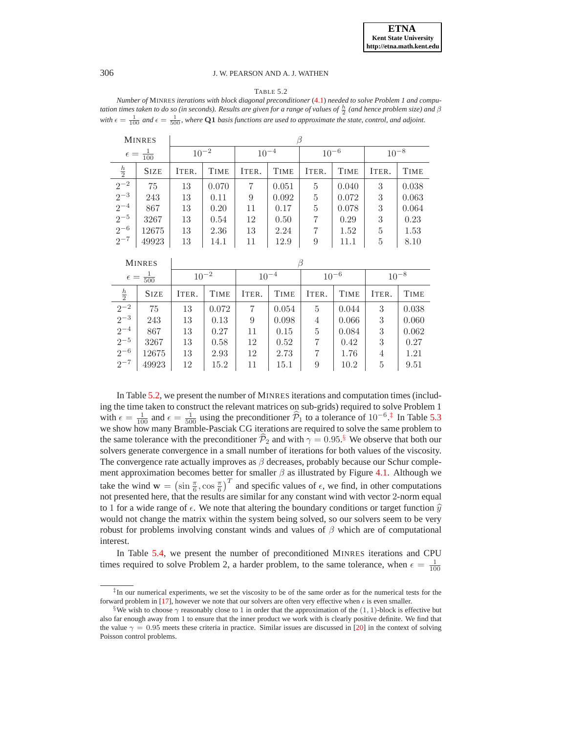#### TABLE 5.2

<span id="page-12-0"></span>*Number of* MINRES *iterations with block diagonal preconditioner* [\(4.1\)](#page-9-0) *needed to solve Problem 1 and computation times taken to do so (in seconds). Results are given for a range of values of*  $\frac{h}{2}$  (and hence problem size) and  $\beta$ with  $\epsilon = \frac{1}{100}$  and  $\epsilon = \frac{1}{500}$ , where Q1 basis functions are used to approximate the state, control, and adjoint.

|                                                                          | <b>MINRES</b> |           |             |           |             |                |             |           |             |
|--------------------------------------------------------------------------|---------------|-----------|-------------|-----------|-------------|----------------|-------------|-----------|-------------|
| $\epsilon = \frac{1}{100}$                                               |               | $10^{-2}$ |             | $10^{-4}$ |             | $10^{-6}$      |             | $10^{-8}$ |             |
| $rac{h}{2}$                                                              | <b>SIZE</b>   | ITER.     | <b>TIME</b> | ITER.     | <b>TIME</b> | ITER.          | <b>TIME</b> | ITER.     | <b>TIME</b> |
| $\frac{2}{2^{-2}}$<br>$\frac{2^{-3}}{2^{-4}}$<br>$\frac{2^{-4}}{2^{-5}}$ | 75            | 13        | 0.070       | 7         | 0.051       | 5              | 0.040       | 3         | 0.038       |
|                                                                          | 243           | 13        | 0.11        | 9         | 0.092       | $\overline{5}$ | 0.072       | 3         | 0.063       |
|                                                                          | 867           | 13        | 0.20        | 11        | 0.17        | 5              | 0.078       | 3         | 0.064       |
|                                                                          | 3267          | 13        | 0.54        | 12        | 0.50        | 7              | 0.29        | 3         | 0.23        |
| $2^{-6}$                                                                 | 12675         | 13        | 2.36        | 13        | 2.24        | 7              | 1.52        | 5         | 1.53        |
| $2^{-7}$                                                                 | 49923         | 13        | 14.1        | 11        | 12.9        | 9              | 11.1        | 5         | 8.10        |

|                                 | <b>MINRES</b> |           |             |           |             |           |             |           |             |  |
|---------------------------------|---------------|-----------|-------------|-----------|-------------|-----------|-------------|-----------|-------------|--|
| $\frac{1}{500}$<br>$\epsilon =$ |               | $10^{-2}$ |             | $10^{-4}$ |             | $10^{-6}$ |             | $10^{-8}$ |             |  |
| $rac{h}{2}$                     | <b>SIZE</b>   | ITER.     | <b>TIME</b> | ITER.     | <b>TIME</b> | ITER.     | <b>TIME</b> | ITER.     | <b>TIME</b> |  |
| $2^{-2}$                        | 75            | 13        | 0.072       | 7         | 0.054       | 5         | 0.044       | 3         | 0.038       |  |
| $\frac{2^{-3}}{2^{-4}}$         | 243           | 13        | 0.13        | 9         | 0.098       | 4         | 0.066       | 3         | 0.060       |  |
|                                 | 867           | 13        | 0.27        | 11        | 0.15        | 5         | 0.084       | 3         | 0.062       |  |
| $2^{-5}$                        | 3267          | 13        | 0.58        | 12        | 0.52        | 7         | 0.42        | 3         | 0.27        |  |
| $2^{-6}$                        | 12675         | 13        | 2.93        | 12        | 2.73        | 7         | 1.76        | 4         | 1.21        |  |
| $2^{-7}$                        | 49923         | 12        | 15.2        | 11        | 15.1        | 9         | 10.2        | 5         | 9.51        |  |

In Table [5.2,](#page-12-0) we present the number of MINRES iterations and computation times (including the time taken to construct the relevant matrices on sub-grids) required to solve Problem 1 with  $\epsilon = \frac{1}{100}$  and  $\epsilon = \frac{1}{500}$  using the preconditioner  $\hat{\mathcal{P}}_1$  to a tolerance of  $10^{-6}$ .<sup>[‡](#page-12-1)</sup> In Table [5.3](#page-13-0) we show how many Bramble-Pasciak CG iterations are required to solve the same problem to the same tolerance with the preconditioner  $\mathcal{P}_2$  and with  $\gamma = 0.95$ .<sup>[§](#page-12-2)</sup> We observe that both our solvers generate convergence in a small number of iterations for both values of the viscosity. The convergence rate actually improves as  $\beta$  decreases, probably because our Schur complement approximation becomes better for smaller  $\beta$  as illustrated by Figure [4.1.](#page-8-0) Although we take the wind  $\mathbf{w} = (\sin \frac{\pi}{6}, \cos \frac{\pi}{6})^T$  and specific values of  $\epsilon$ , we find, in other computations not presented here, that the results are similar for any constant wind with vector 2-norm equal to 1 for a wide range of  $\epsilon$ . We note that altering the boundary conditions or target function  $\hat{y}$ would not change the matrix within the system being solved, so our solvers seem to be very robust for problems involving constant winds and values of  $\beta$  which are of computational interest.

In Table [5.4,](#page-14-0) we present the number of preconditioned MINRES iterations and CPU times required to solve Problem 2, a harder problem, to the same tolerance, when  $\epsilon = \frac{1}{100}$ 

<span id="page-12-1"></span><sup>‡</sup> In our numerical experiments, we set the viscosity to be of the same order as for the numerical tests for the forward problem in [\[17\]](#page-16-7), however we note that our solvers are often very effective when  $\epsilon$  is even smaller.

<span id="page-12-2"></span><sup>&</sup>lt;sup>§</sup>We wish to choose  $\gamma$  reasonably close to 1 in order that the approximation of the (1, 1)-block is effective but also far enough away from 1 to ensure that the inner product we work with is clearly positive definite. We find that the value  $\gamma = 0.95$  meets these criteria in practice. Similar issues are discussed in [\[20\]](#page-16-12) in the context of solving Poisson control problems.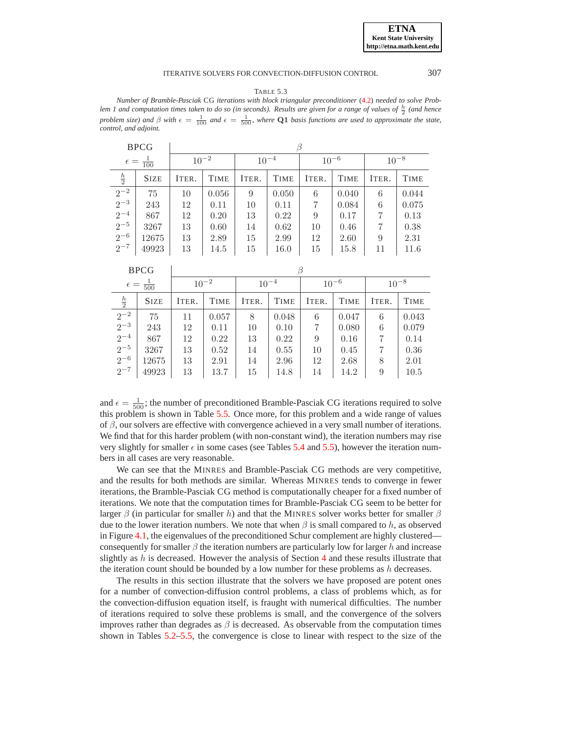TABLE 5.3

<span id="page-13-0"></span>*Number of Bramble-Pasciak* CG *iterations with block triangular preconditioner* [\(4.2\)](#page-9-1) *needed to solve Prob* $l$  *lem 1 and computation times taken to do so (in seconds). Results are given for a range of values of*  $\frac{h}{2}$  *(and hence problem size) and*  $\beta$  *with*  $\epsilon = \frac{1}{100}$  *and*  $\epsilon = \frac{1}{500}$ *, where* **Q1** *basis functions are used to approximate the state, control, and adjoint.*

|                                                                             | <b>BPCG</b> |           |             |           |             |           |             |           |             |
|-----------------------------------------------------------------------------|-------------|-----------|-------------|-----------|-------------|-----------|-------------|-----------|-------------|
| $\epsilon = \frac{1}{100}$                                                  |             | $10^{-2}$ |             | $10^{-4}$ |             | $10^{-6}$ |             | $10^{-8}$ |             |
| $\frac{h}{2}$                                                               | <b>SIZE</b> | ITER.     | <b>TIME</b> | ITER.     | <b>TIME</b> | ITER.     | <b>TIME</b> | ITER.     | <b>TIME</b> |
| $\begin{array}{r} \boxed{2^{-2}} \\ 2^{-3} \\ 2^{-4} \\ 2^{-5} \end{array}$ | 75          | 10        | 0.056       | 9         | 0.050       | 6         | 0.040       | 6         | 0.044       |
|                                                                             | 243         | 12        | 0.11        | 10        | 0.11        | 7         | 0.084       | 6         | 0.075       |
|                                                                             | 867         | 12        | 0.20        | 13        | 0.22        | 9         | 0.17        | 7         | 0.13        |
|                                                                             | 3267        | 13        | 0.60        | 14        | 0.62        | 10        | 0.46        | 7         | 0.38        |
| $2^{-6}$                                                                    | 12675       | 13        | 2.89        | 15        | 2.99        | 12        | 2.60        | 9         | 2.31        |
| $2^{-7}$                                                                    | 49923       | 13        | 14.5        | 15        | 16.0        | 15        | 15.8        | 11        | 11.6        |

|                            | <b>BPCG</b> |           |             |           |             |           |             |           |             |  |  |
|----------------------------|-------------|-----------|-------------|-----------|-------------|-----------|-------------|-----------|-------------|--|--|
| $\epsilon = \frac{1}{500}$ |             | $10^{-2}$ |             | $10^{-4}$ |             | $10^{-6}$ |             | $10^{-8}$ |             |  |  |
| $rac{h}{2}$                | <b>SIZE</b> | ITER.     | <b>TIME</b> | ITER.     | <b>TIME</b> | ITER.     | <b>TIME</b> | ITER.     | <b>TIME</b> |  |  |
| $2^{-2}$                   | 75          | 11        | 0.057       | 8         | 0.048       | 6         | 0.047       | 6         | 0.043       |  |  |
| $2^{-3}$                   | 243         | 12        | 0.11        | 10        | 0.10        | 7         | 0.080       | 6         | 0.079       |  |  |
| $^{-}_{2^{-4}}$            | 867         | 12        | 0.22        | 13        | 0.22        | 9         | 0.16        | 7         | 0.14        |  |  |
| $2^{-5}$                   | 3267        | 13        | 0.52        | 14        | 0.55        | 10        | 0.45        | 7         | 0.36        |  |  |
| $2^{-6}$                   | 12675       | 13        | 2.91        | 14        | 2.96        | 12        | 2.68        | 8         | 2.01        |  |  |
| $2^{-7}$                   | 49923       | 13        | 13.7        | 15        | 14.8        | 14        | 14.2        | 9         | 10.5        |  |  |

and  $\epsilon = \frac{1}{500}$ ; the number of preconditioned Bramble-Pasciak CG iterations required to solve this problem is shown in Table [5.5.](#page-15-5) Once more, for this problem and a wide range of values of  $\beta$ , our solvers are effective with convergence achieved in a very small number of iterations. We find that for this harder problem (with non-constant wind), the iteration numbers may rise very slightly for smaller  $\epsilon$  in some cases (see Tables [5.4](#page-14-0) and [5.5\)](#page-15-5), however the iteration numbers in all cases are very reasonable.

We can see that the MINRES and Bramble-Pasciak CG methods are very competitive, and the results for both methods are similar. Whereas MINRES tends to converge in fewer iterations, the Bramble-Pasciak CG method is computationally cheaper for a fixed number of iterations. We note that the computation times for Bramble-Pasciak CG seem to be better for larger  $\beta$  (in particular for smaller h) and that the MINRES solver works better for smaller  $\beta$ due to the lower iteration numbers. We note that when  $\beta$  is small compared to h, as observed in Figure [4.1,](#page-8-0) the eigenvalues of the preconditioned Schur complement are highly clustered consequently for smaller  $\beta$  the iteration numbers are particularly low for larger h and increase slightly as  $h$  is decreased. However the analysis of Section [4](#page-6-0) and these results illustrate that the iteration count should be bounded by a low number for these problems as  $h$  decreases.

The results in this section illustrate that the solvers we have proposed are potent ones for a number of convection-diffusion control problems, a class of problems which, as for the convection-diffusion equation itself, is fraught with numerical difficulties. The number of iterations required to solve these problems is small, and the convergence of the solvers improves rather than degrades as  $\beta$  is decreased. As observable from the computation times shown in Tables [5.2](#page-12-0)[–5.5,](#page-15-5) the convergence is close to linear with respect to the size of the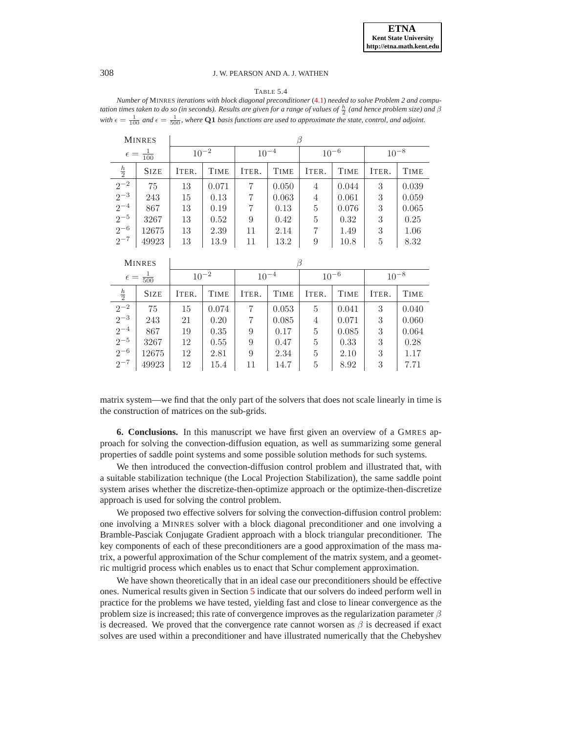#### TABLE 5.4

<span id="page-14-0"></span>*Number of* MINRES *iterations with block diagonal preconditioner* [\(4.1\)](#page-9-0) *needed to solve Problem 2 and computation times taken to do so (in seconds). Results are given for a range of values of*  $\frac{h}{2}$  (and hence problem size) and  $\beta$ with  $\epsilon = \frac{1}{100}$  and  $\epsilon = \frac{1}{500}$ , where Q1 basis functions are used to approximate the state, control, and adjoint.

|                                                                             | <b>MINRES</b> |           |             |           |             |           |             |           |             |
|-----------------------------------------------------------------------------|---------------|-----------|-------------|-----------|-------------|-----------|-------------|-----------|-------------|
| $\epsilon = \frac{1}{100}$                                                  |               | $10^{-2}$ |             | $10^{-4}$ |             | $10^{-6}$ |             | $10^{-8}$ |             |
| $rac{h}{2}$                                                                 | <b>SIZE</b>   | ITER.     | <b>TIME</b> | ITER.     | <b>TIME</b> | ITER.     | <b>TIME</b> | ITER.     | <b>TIME</b> |
| $\begin{array}{r} \boxed{2^{-2}} \\ 2^{-3} \\ 2^{-4} \\ 2^{-5} \end{array}$ | 75            | 13        | 0.071       | 7         | 0.050       | 4         | 0.044       | 3         | 0.039       |
|                                                                             | 243           | 15        | 0.13        | 7         | 0.063       | 4         | 0.061       | 3         | 0.059       |
|                                                                             | 867           | 13        | 0.19        | 7         | 0.13        | 5         | 0.076       | 3         | 0.065       |
|                                                                             | 3267          | 13        | 0.52        | 9         | 0.42        | 5         | 0.32        | 3         | 0.25        |
| $2^{-6}$                                                                    | 12675         | 13        | 2.39        | 11        | 2.14        | 7         | 1.49        | 3         | 1.06        |
| $2^{-7}$                                                                    | 49923         | 13        | 13.9        | 11        | 13.2        | 9         | 10.8        | 5         | 8.32        |

|                               | <b>MINRES</b> |           |             |           |             |           |             |           |             |  |
|-------------------------------|---------------|-----------|-------------|-----------|-------------|-----------|-------------|-----------|-------------|--|
| $rac{1}{500}$<br>$\epsilon =$ |               | $10^{-2}$ |             | $10^{-4}$ |             | $10^{-6}$ |             | $10^{-8}$ |             |  |
| $rac{h}{2}$                   | <b>SIZE</b>   | ITER.     | <b>TIME</b> | ITER.     | <b>TIME</b> | ITER.     | <b>TIME</b> | ITER.     | <b>TIME</b> |  |
| $2^{-2}$                      | 75            | 15        | 0.074       | 7         | 0.053       | 5         | 0.041       | 3         | 0.040       |  |
| $2^{-3}$                      | 243           | 21        | 0.20        | 7         | 0.085       | 4         | 0.071       | 3         | 0.060       |  |
| $2^{-4}$                      | 867           | 19        | 0.35        | 9         | 0.17        | 5         | 0.085       | 3         | 0.064       |  |
| $2^{-5}$                      | 3267          | 12        | 0.55        | 9         | 0.47        | 5         | 0.33        | 3         | 0.28        |  |
| $2^{-6}$                      | 12675         | 12        | 2.81        | 9         | 2.34        | 5         | 2.10        | 3         | 1.17        |  |
| $2^{-7}$                      | 49923         | 12        | 15.4        | 11        | 14.7        | 5         | 8.92        | 3         | 7.71        |  |

matrix system—we find that the only part of the solvers that does not scale linearly in time is the construction of matrices on the sub-grids.

**6. Conclusions.** In this manuscript we have first given an overview of a GMRES approach for solving the convection-diffusion equation, as well as summarizing some general properties of saddle point systems and some possible solution methods for such systems.

We then introduced the convection-diffusion control problem and illustrated that, with a suitable stabilization technique (the Local Projection Stabilization), the same saddle point system arises whether the discretize-then-optimize approach or the optimize-then-discretize approach is used for solving the control problem.

We proposed two effective solvers for solving the convection-diffusion control problem: one involving a MINRES solver with a block diagonal preconditioner and one involving a Bramble-Pasciak Conjugate Gradient approach with a block triangular preconditioner. The key components of each of these preconditioners are a good approximation of the mass matrix, a powerful approximation of the Schur complement of the matrix system, and a geometric multigrid process which enables us to enact that Schur complement approximation.

We have shown theoretically that in an ideal case our preconditioners should be effective ones. Numerical results given in Section [5](#page-10-0) indicate that our solvers do indeed perform well in practice for the problems we have tested, yielding fast and close to linear convergence as the problem size is increased; this rate of convergence improves as the regularization parameter  $\beta$ is decreased. We proved that the convergence rate cannot worsen as  $\beta$  is decreased if exact solves are used within a preconditioner and have illustrated numerically that the Chebyshev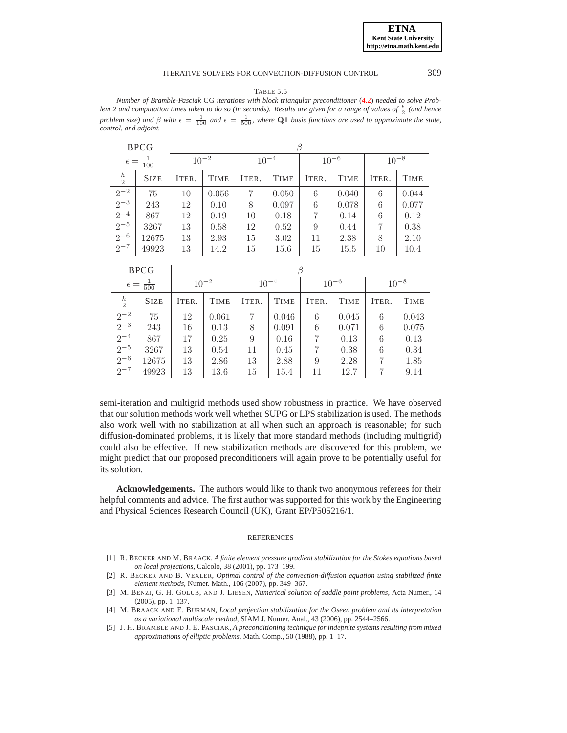TABLE 5.5

<span id="page-15-5"></span>*Number of Bramble-Pasciak* CG *iterations with block triangular preconditioner* [\(4.2\)](#page-9-1) *needed to solve Prob* $l$ em 2 and computation times taken to do so (in seconds). Results are given for a range of values of  $\frac{h}{2}$  (and hence *problem size) and*  $\beta$  *with*  $\epsilon = \frac{1}{100}$  *and*  $\epsilon = \frac{1}{500}$ *, where* **Q1** *basis functions are used to approximate the state, control, and adjoint.*

|                                                                             | <b>BPCG</b> |           |             |                |             |           |             |           |             |
|-----------------------------------------------------------------------------|-------------|-----------|-------------|----------------|-------------|-----------|-------------|-----------|-------------|
| $\epsilon = \frac{1}{100}$                                                  |             | $10^{-2}$ |             | $10^{-4}$      |             | $10^{-6}$ |             | $10^{-8}$ |             |
| $\frac{h}{2}$                                                               | <b>SIZE</b> | ITER.     | <b>TIME</b> | ITER.          | <b>TIME</b> | ITER.     | <b>TIME</b> | ITER.     | <b>TIME</b> |
| $\begin{array}{r} \boxed{2^{-2}} \\ 2^{-3} \\ 2^{-4} \\ 2^{-5} \end{array}$ | 75          | 10        | 0.056       | $\overline{7}$ | 0.050       | 6         | 0.040       | 6         | 0.044       |
|                                                                             | 243         | 12        | 0.10        | 8              | 0.097       | 6         | 0.078       | 6         | 0.077       |
|                                                                             | 867         | 12        | 0.19        | 10             | 0.18        | 7         | 0.14        | 6         | 0.12        |
|                                                                             | 3267        | 13        | 0.58        | 12             | 0.52        | 9         | 0.44        | 7         | 0.38        |
| $2^{-6}$                                                                    | 12675       | 13        | 2.93        | 15             | 3.02        | 11        | 2.38        | 8         | 2.10        |
| $2^{-7}$                                                                    | 49923       | 13        | 14.2        | 15             | 15.6        | 15        | 15.5        | 10        | 10.4        |

|                            | <b>BPCG</b> |           |             |           |             |           |             |           |             |
|----------------------------|-------------|-----------|-------------|-----------|-------------|-----------|-------------|-----------|-------------|
| $\epsilon = \frac{1}{500}$ |             | $10^{-2}$ |             | $10^{-4}$ |             | $10^{-6}$ |             | $10^{-8}$ |             |
| $rac{h}{2}$                | <b>SIZE</b> | ITER.     | <b>TIME</b> | ITER.     | <b>TIME</b> | ITER.     | <b>TIME</b> | ITER.     | <b>TIME</b> |
| $2^{-2}$                   | 75          | 12        | 0.061       |           | 0.046       | 6         | 0.045       | 6         | 0.043       |
| $\frac{1}{2}$ -3           | 243         | 16        | 0.13        | 8         | 0.091       | 6         | 0.071       | 6         | 0.075       |
| $\frac{1}{2}$ – 4          | 867         | 17        | 0.25        | 9         | 0.16        | 7         | 0.13        | 6         | 0.13        |
| $\frac{1}{2}$ -5           | 3267        | 13        | 0.54        | 11        | 0.45        | 7         | 0.38        | 6         | 0.34        |
| $2^{-6}$                   | 12675       | 13        | 2.86        | 13        | 2.88        | 9         | 2.28        | 7         | 1.85        |
| $2^{-7}$                   | 49923       | 13        | 13.6        | 15        | 15.4        | 11        | 12.7        | 7         | 9.14        |

semi-iteration and multigrid methods used show robustness in practice. We have observed that our solution methods work well whether SUPG or LPS stabilization is used. The methods also work well with no stabilization at all when such an approach is reasonable; for such diffusion-dominated problems, it is likely that more standard methods (including multigrid) could also be effective. If new stabilization methods are discovered for this problem, we might predict that our proposed preconditioners will again prove to be potentially useful for its solution.

**Acknowledgements.** The authors would like to thank two anonymous referees for their helpful comments and advice. The first author was supported for this work by the Engineering and Physical Sciences Research Council (UK), Grant EP/P505216/1.

#### **REFERENCES**

- <span id="page-15-0"></span>[1] R. BECKER AND M. BRAACK, *A finite element pressure gradient stabilization for the Stokes equations based on local projections*, Calcolo, 38 (2001), pp. 173–199.
- <span id="page-15-1"></span>[2] R. BECKER AND B. VEXLER, *Optimal control of the convection-diffusion equation using stabilized finite element methods*, Numer. Math., 106 (2007), pp. 349–367.
- <span id="page-15-3"></span>[3] M. BENZI, G. H. GOLUB, AND J. LIESEN, *Numerical solution of saddle point problems*, Acta Numer., 14 (2005), pp. 1–137.
- <span id="page-15-2"></span>[4] M. BRAACK AND E. BURMAN, *Local projection stabilization for the Oseen problem and its interpretation as a variational multiscale method*, SIAM J. Numer. Anal., 43 (2006), pp. 2544–2566.
- <span id="page-15-4"></span>[5] J. H. BRAMBLE AND J. E. PASCIAK, *A preconditioning technique for indefinite systems resulting from mixed approximations of elliptic problems*, Math. Comp., 50 (1988), pp. 1–17.